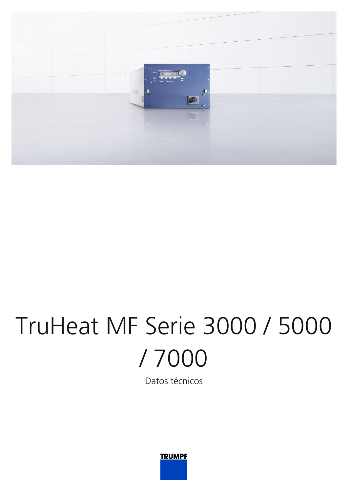

## TruHeat MF Serie 3000 / 5000 / 7000

Datos técnicos

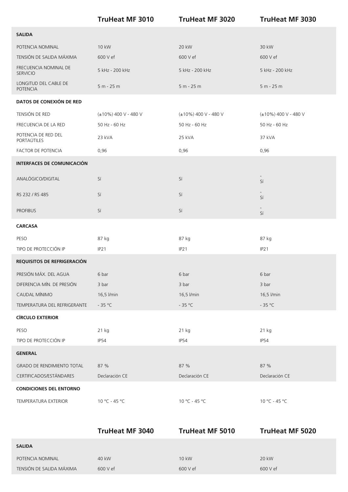|                                          | <b>TruHeat MF 3010</b>     | <b>TruHeat MF 3020</b> | <b>TruHeat MF 3030</b>         |
|------------------------------------------|----------------------------|------------------------|--------------------------------|
| <b>SALIDA</b>                            |                            |                        |                                |
| POTENCIA NOMINAL                         | 10 kW                      | 20 kW                  | 30 kW                          |
| TENSIÓN DE SALIDA MÁXIMA                 | 600 V ef                   | 600 V ef               | 600 V ef                       |
| FRECUENCIA NOMINAL DE<br><b>SERVICIO</b> | 5 kHz - 200 kHz            | 5 kHz - 200 kHz        | 5 kHz - 200 kHz                |
| LONGITUD DEL CABLE DE<br><b>POTENCIA</b> | 5 m - 25 m                 | $5 m - 25 m$           | $5 m - 25 m$                   |
| DATOS DE CONEXIÓN DE RED                 |                            |                        |                                |
| TENSIÓN DE RED                           | $(\pm 10\%)$ 400 V - 480 V | (±10%) 400 V - 480 V   | (±10%) 400 V - 480 V           |
| FRECUENCIA DE LA RED                     | 50 Hz - 60 Hz              | 50 Hz - 60 Hz          | 50 Hz - 60 Hz                  |
| POTENCIA DE RED DEL<br>PORTAÚTILES       | 23 kVA                     | 25 kVA                 | 37 kVA                         |
| FACTOR DE POTENCIA                       | 0,96                       | 0,96                   | 0,96                           |
| <b>INTERFACES DE COMUNICACIÓN</b>        |                            |                        |                                |
| ANALÓGICO/DIGITAL                        | Sí                         | Sí                     | $\overline{\phantom{a}}$<br>Sí |
| RS 232 / RS 485                          | Sí                         | Sí                     | Sí                             |
| <b>PROFIBUS</b>                          | Sí                         | Sí                     | Sí                             |
| <b>CARCASA</b>                           |                            |                        |                                |
| PESO                                     | 87 kg                      | 87 kg                  | 87 kg                          |
| TIPO DE PROTECCIÓN IP                    | IP21                       | IP <sub>21</sub>       | IP21                           |
| REQUISITOS DE REFRIGERACIÓN              |                            |                        |                                |
| PRESIÓN MÁX. DEL AGUA                    | 6 bar                      | 6 bar                  | 6 bar                          |
| DIFERENCIA MÍN. DE PRESIÓN               | 3 bar                      | 3 bar                  | 3 bar                          |
| CAUDAL MÍNIMO                            | 16,5 l/min                 | 16,5 l/min             | 16,5 l/min                     |
| TEMPERATURA DEL REFRIGERANTE             | $-35 °C$                   | - 35 °C                | $-35 °C$                       |
| <b>CÍRCULO EXTERIOR</b>                  |                            |                        |                                |
| PESO                                     | 21 kg                      | 21 kg                  | 21 kg                          |
| TIPO DE PROTECCIÓN IP                    | IP54                       | IP54                   | IP54                           |
| <b>GENERAL</b>                           |                            |                        |                                |
| <b>GRADO DE RENDIMIENTO TOTAL</b>        | 87 %                       | 87 %                   | 87 %                           |
| CERTIFICADOS/ESTÁNDARES                  | Declaración CE             | Declaración CE         | Declaración CE                 |
| <b>CONDICIONES DEL ENTORNO</b>           |                            |                        |                                |
| TEMPERATURA EXTERIOR                     | $10 °C - 45 °C$            | 10 °C - 45 °C          | $10 °C - 45 °C$                |
|                                          |                            |                        |                                |
|                                          | <b>TruHeat MF 3040</b>     | <b>TruHeat MF 5010</b> | <b>TruHeat MF 5020</b>         |
| <b>SALIDA</b>                            |                            |                        |                                |
| POTENCIA NOMINAL                         | 40 kW                      | 10 kW                  | 20 kW                          |

TENSIÓN DE SALIDA MÁXIMA 600 V ef 600 V ef 600 V ef 600 V ef 600 V ef 600 V ef 600 V ef 600 V ef 600 V ef 600 V ef 600 V ef 600 V ef 600 V ef 600 V ef 600 V ef 600 V ef 600 V ef 600 V ef 600 V ef 600 V ef 600 V ef 600 V ef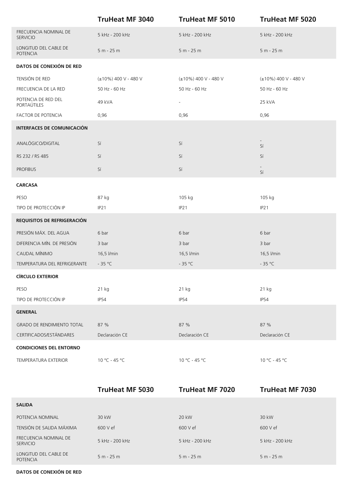|                                          | <b>TruHeat MF 3040</b>     | <b>TruHeat MF 5010</b>     | <b>TruHeat MF 5020</b>     |
|------------------------------------------|----------------------------|----------------------------|----------------------------|
| FRECUENCIA NOMINAL DE<br><b>SERVICIO</b> | 5 kHz - 200 kHz            | 5 kHz - 200 kHz            | 5 kHz - 200 kHz            |
| LONGITUD DEL CABLE DE<br><b>POTENCIA</b> | $5 m - 25 m$               | $5 m - 25 m$               | $5 m - 25 m$               |
| DATOS DE CONEXIÓN DE RED                 |                            |                            |                            |
| TENSIÓN DE RED                           | $(\pm 10\%)$ 400 V - 480 V | $(\pm 10\%)$ 400 V - 480 V | $(\pm 10\%)$ 400 V - 480 V |
| FRECUENCIA DE LA RED                     | 50 Hz - 60 Hz              | 50 Hz - 60 Hz              | 50 Hz - 60 Hz              |
| POTENCIA DE RED DEL<br>PORTAÚTILES       | 49 kVA                     | $\overline{\phantom{a}}$   | 25 kVA                     |
| FACTOR DE POTENCIA                       | 0,96                       | 0,96                       | 0,96                       |
| <b>INTERFACES DE COMUNICACIÓN</b>        |                            |                            |                            |
| ANALÓGICO/DIGITAL                        | Sí                         | Sí                         | Sí                         |
| RS 232 / RS 485                          | Sí                         | Sí                         | Sí                         |
| <b>PROFIBUS</b>                          | Sí                         | Sí                         | Sí                         |
| <b>CARCASA</b>                           |                            |                            |                            |
| PESO                                     | 87 kg                      | 105 kg                     | 105 kg                     |
| TIPO DE PROTECCIÓN IP                    | IP21                       | IP <sub>21</sub>           | IP21                       |
| REQUISITOS DE REFRIGERACIÓN              |                            |                            |                            |
| PRESIÓN MÁX. DEL AGUA                    | 6 bar                      | 6 bar                      | 6 bar                      |
| DIFERENCIA MÍN. DE PRESIÓN               | 3 bar                      | 3 bar                      | 3 bar                      |
| CAUDAL MÍNIMO                            | 16,5 l/min                 | 16,5 l/min                 | 16,5 l/min                 |
| TEMPERATURA DEL REFRIGERANTE             | $-35 °C$                   | $-35 °C$                   | - 35 °C                    |
| <b>CÍRCULO EXTERIOR</b>                  |                            |                            |                            |
| PESO                                     | 21 kg                      | 21 kg                      | 21 kg                      |
| TIPO DE PROTECCIÓN IP                    | IP54                       | IP54                       | IP54                       |
| <b>GENERAL</b>                           |                            |                            |                            |
| <b>GRADO DE RENDIMIENTO TOTAL</b>        | 87 %                       | 87 %                       | 87 %                       |
| CERTIFICADOS/ESTÁNDARES                  | Declaración CE             | Declaración CE             | Declaración CE             |
| <b>CONDICIONES DEL ENTORNO</b>           |                            |                            |                            |
| TEMPERATURA EXTERIOR                     | 10 °C - 45 °C              | 10 °C - 45 °C              | 10 °C - 45 °C              |
|                                          |                            |                            |                            |

|                                          | <b>TruHeat MF 5030</b> | <b>TruHeat MF 7020</b> | <b>TruHeat MF 7030</b> |
|------------------------------------------|------------------------|------------------------|------------------------|
| <b>SALIDA</b>                            |                        |                        |                        |
| POTENCIA NOMINAL                         | 30 kW                  | 20 kW                  | 30 kW                  |
| TENSIÓN DE SALIDA MÁXIMA                 | 600 V ef               | 600 V ef               | 600 V ef               |
| FRECUENCIA NOMINAL DE<br><b>SERVICIO</b> | 5 kHz - 200 kHz        | 5 kHz - 200 kHz        | 5 kHz - 200 kHz        |
| LONGITUD DEL CABLE DE<br><b>POTENCIA</b> | $5 m - 25 m$           | $5 m - 25 m$           | $5 m - 25 m$           |

**DATOS DE CONEXIÓN DE RED**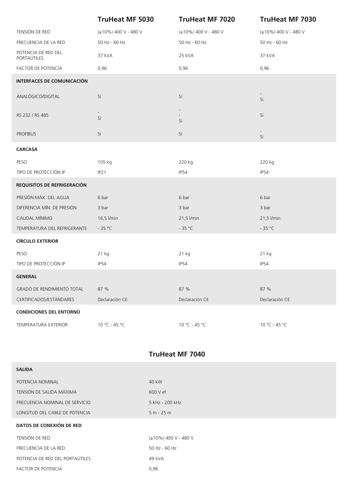|                                    | <b>TruHeat MF 5030</b> | <b>TruHeat MF 7020</b> | <b>TruHeat MF 7030</b> |
|------------------------------------|------------------------|------------------------|------------------------|
| TENSIÓN DE RED                     | (±10%) 400 V - 480 V   | (±10%) 400 V - 480 V   | (±10%) 400 V - 480 V   |
| FRECUENCIA DE LA RED               | 50 Hz - 60 Hz          | 50 Hz - 60 Hz          | 50 Hz - 60 Hz          |
| POTENCIA DE RED DEL<br>PORTAÚTILES | 37 kVA                 | 25 kVA                 | 37 kVA                 |
| FACTOR DE POTENCIA                 | 0,96                   | 0,96                   | 0,96                   |
| <b>INTERFACES DE COMUNICACIÓN</b>  |                        |                        |                        |
| ANALÓGICO/DIGITAL                  | Sí                     | Sí                     | Sí                     |
| RS 232 / RS 485                    | Sí                     | Sí                     | Sí                     |
| <b>PROFIBUS</b>                    | Sí                     | Sí                     | Sí                     |
| <b>CARCASA</b>                     |                        |                        |                        |
| PESO                               | 105 kg                 | 220 kg                 | 220 kg                 |
| TIPO DE PROTECCIÓN IP              | IP21                   | IP54                   | IP54                   |
| REQUISITOS DE REFRIGERACIÓN        |                        |                        |                        |
| PRESIÓN MÁX. DEL AGUA              | 6 bar                  | 6 bar                  | 6 bar                  |
| DIFERENCIA MÍN. DE PRESIÓN         | 3 bar                  | 3 bar                  | 3 bar                  |
| CAUDAL MÍNIMO                      | 16,5 l/min             | 21,5 l/min             | 21,5 l/min             |
| TEMPERATURA DEL REFRIGERANTE       | $-35 °C$               | - 35 °C                | $-35 °C$               |
| <b>CÍRCULO EXTERIOR</b>            |                        |                        |                        |
| PESO                               | 21 kg                  | 21 kg                  | 21 kg                  |
| TIPO DE PROTECCIÓN IP              | <b>IP54</b>            | IP54                   | <b>IP54</b>            |
| <b>GENERAL</b>                     |                        |                        |                        |
| <b>GRADO DE RENDIMIENTO TOTAL</b>  | 87 %                   | 87 %                   | 87 %                   |
| CERTIFICADOS/ESTÁNDARES            | Declaración CE         | Declaración CE         | Declaración CE         |
| <b>CONDICIONES DEL ENTORNO</b>     |                        |                        |                        |
| TEMPERATURA EXTERIOR               | 10 °C - 45 °C          | 10 °C - 45 °C          | $10 °C - 45 °C$        |

## **TruHeat MF 7040**

| <b>SALIDA</b>                   |                            |
|---------------------------------|----------------------------|
| POTENCIA NOMINAL                | 40 kW                      |
| TENSIÓN DE SALIDA MÁXIMA        | 600 V ef                   |
| FRECUENCIA NOMINAL DE SERVICIO  | 5 kHz - 200 kHz            |
| LONGITUD DEL CABLE DE POTENCIA  | $5 m - 25 m$               |
|                                 |                            |
| DATOS DE CONEXIÓN DE RED        |                            |
| TENSIÓN DE RED                  | $(\pm 10\%)$ 400 V - 480 V |
| FRECUENCIA DE LA RED            | 50 Hz - 60 Hz              |
| POTENCIA DE RED DEL PORTAÚTILES | 49 kVA                     |